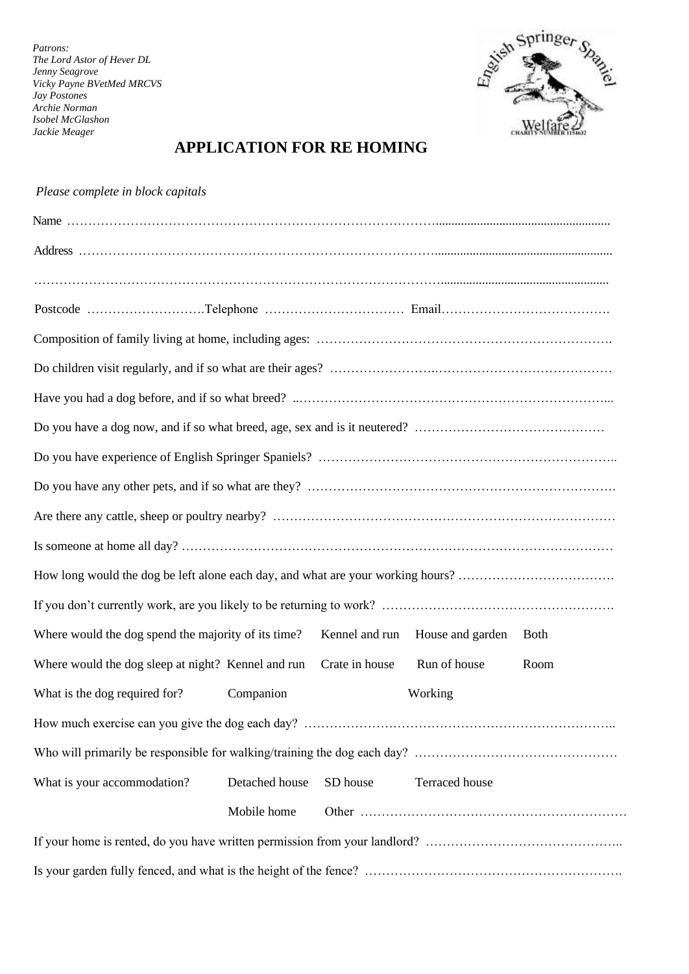*Patrons: The Lord Astor of Hever DL Jenny Seagrove Vicky Payne BVetMed MRCVS Jay Postones Archie Norman Isobel McGlashon Jackie Meager*



## **APPLICATION FOR RE HOMING**

| Where would the dog spend the majority of its time? |                | Kennel and run | House and garden | <b>Both</b> |  |
|-----------------------------------------------------|----------------|----------------|------------------|-------------|--|
| Where would the dog sleep at night? Kennel and run  |                | Crate in house | Run of house     | Room        |  |
| What is the dog required for?                       | Companion      |                | Working          |             |  |
|                                                     |                |                |                  |             |  |
|                                                     |                |                |                  |             |  |
| What is your accommodation?                         | Detached house | SD house       | Terraced house   |             |  |
|                                                     | Mobile home    |                |                  |             |  |
|                                                     |                |                |                  |             |  |
|                                                     |                |                |                  |             |  |